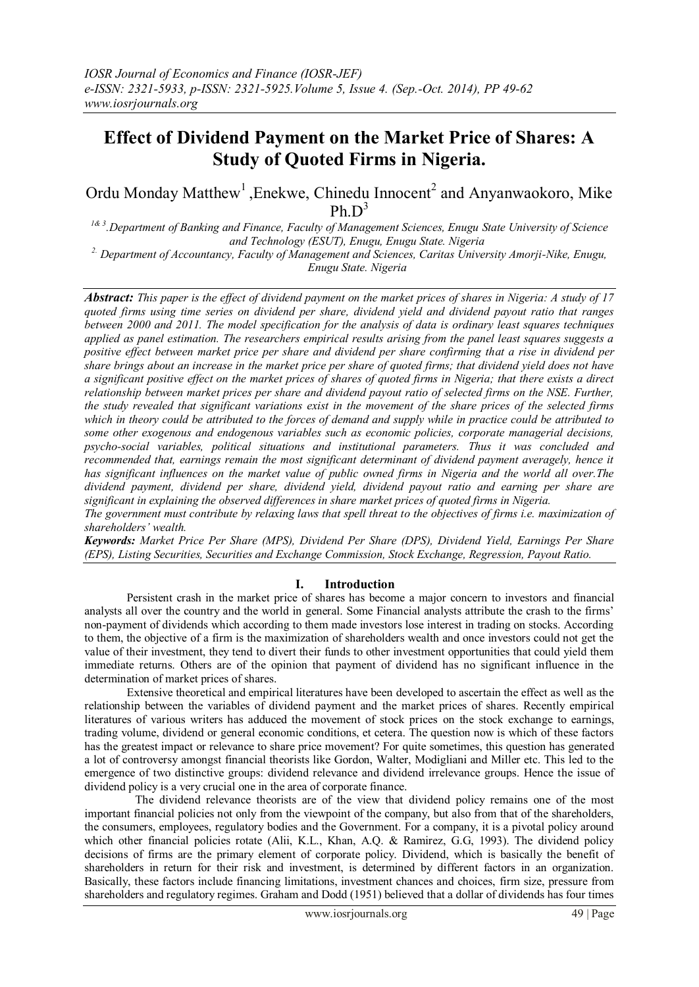# **Effect of Dividend Payment on the Market Price of Shares: A Study of Quoted Firms in Nigeria.**

Ordu Monday Matthew<sup>1</sup>, Enekwe, Chinedu Innocent<sup>2</sup> and Anyanwaokoro, Mike Ph $D^3$ 

*1& 3 .Department of Banking and Finance, Faculty of Management Sciences, Enugu State University of Science and Technology (ESUT), Enugu, Enugu State. Nigeria 2. Department of Accountancy, Faculty of Management and Sciences, Caritas University Amorji-Nike, Enugu,* 

*Enugu State. Nigeria*

*Abstract: This paper is the effect of dividend payment on the market prices of shares in Nigeria: A study of 17 quoted firms using time series on dividend per share, dividend yield and dividend payout ratio that ranges between 2000 and 2011. The model specification for the analysis of data is ordinary least squares techniques applied as panel estimation. The researchers empirical results arising from the panel least squares suggests a positive effect between market price per share and dividend per share confirming that a rise in dividend per share brings about an increase in the market price per share of quoted firms; that dividend yield does not have a significant positive effect on the market prices of shares of quoted firms in Nigeria; that there exists a direct relationship between market prices per share and dividend payout ratio of selected firms on the NSE. Further, the study revealed that significant variations exist in the movement of the share prices of the selected firms which in theory could be attributed to the forces of demand and supply while in practice could be attributed to some other exogenous and endogenous variables such as economic policies, corporate managerial decisions, psycho-social variables, political situations and institutional parameters. Thus it was concluded and recommended that, earnings remain the most significant determinant of dividend payment averagely, hence it has significant influences on the market value of public owned firms in Nigeria and the world all over.The dividend payment, dividend per share, dividend yield, dividend payout ratio and earning per share are significant in explaining the observed differences in share market prices of quoted firms in Nigeria.* 

*The government must contribute by relaxing laws that spell threat to the objectives of firms i.e. maximization of shareholders' wealth.*

*Keywords: Market Price Per Share (MPS), Dividend Per Share (DPS), Dividend Yield, Earnings Per Share (EPS), Listing Securities, Securities and Exchange Commission, Stock Exchange, Regression, Payout Ratio.*

# **I. Introduction**

Persistent crash in the market price of shares has become a major concern to investors and financial analysts all over the country and the world in general. Some Financial analysts attribute the crash to the firms" non-payment of dividends which according to them made investors lose interest in trading on stocks. According to them, the objective of a firm is the maximization of shareholders wealth and once investors could not get the value of their investment, they tend to divert their funds to other investment opportunities that could yield them immediate returns. Others are of the opinion that payment of dividend has no significant influence in the determination of market prices of shares.

Extensive theoretical and empirical literatures have been developed to ascertain the effect as well as the relationship between the variables of dividend payment and the market prices of shares. Recently empirical literatures of various writers has adduced the movement of stock prices on the stock exchange to earnings, trading volume, dividend or general economic conditions, et cetera. The question now is which of these factors has the greatest impact or relevance to share price movement? For quite sometimes, this question has generated a lot of controversy amongst financial theorists like Gordon, Walter, Modigliani and Miller etc. This led to the emergence of two distinctive groups: dividend relevance and dividend irrelevance groups. Hence the issue of dividend policy is a very crucial one in the area of corporate finance.

 The dividend relevance theorists are of the view that dividend policy remains one of the most important financial policies not only from the viewpoint of the company, but also from that of the shareholders, the consumers, employees, regulatory bodies and the Government. For a company, it is a pivotal policy around which other financial policies rotate (Alii, K.L., Khan, A.Q. & Ramirez, G.G, 1993). The dividend policy decisions of firms are the primary element of corporate policy. Dividend, which is basically the benefit of shareholders in return for their risk and investment, is determined by different factors in an organization. Basically, these factors include financing limitations, investment chances and choices, firm size, pressure from shareholders and regulatory regimes. Graham and Dodd (1951) believed that a dollar of dividends has four times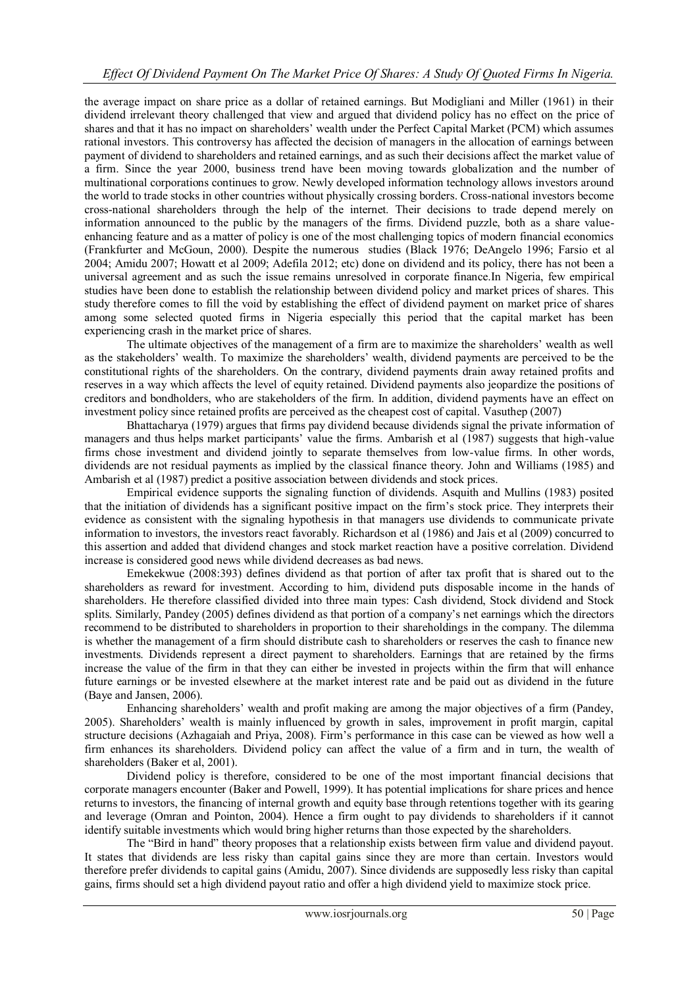the average impact on share price as a dollar of retained earnings. But Modigliani and Miller (1961) in their dividend irrelevant theory challenged that view and argued that dividend policy has no effect on the price of shares and that it has no impact on shareholders" wealth under the Perfect Capital Market (PCM) which assumes rational investors. This controversy has affected the decision of managers in the allocation of earnings between payment of dividend to shareholders and retained earnings, and as such their decisions affect the market value of a firm. Since the year 2000, business trend have been moving towards globalization and the number of multinational corporations continues to grow. Newly developed information technology allows investors around the world to trade stocks in other countries without physically crossing borders. Cross-national investors become cross-national shareholders through the help of the internet. Their decisions to trade depend merely on information announced to the public by the managers of the firms. Dividend puzzle, both as a share valueenhancing feature and as a matter of policy is one of the most challenging topics of modern financial economics (Frankfurter and McGoun, 2000). Despite the numerous studies (Black 1976; DeAngelo 1996; Farsio et al 2004; Amidu 2007; Howatt et al 2009; Adefila 2012; etc) done on dividend and its policy, there has not been a universal agreement and as such the issue remains unresolved in corporate finance.In Nigeria, few empirical studies have been done to establish the relationship between dividend policy and market prices of shares. This study therefore comes to fill the void by establishing the effect of dividend payment on market price of shares among some selected quoted firms in Nigeria especially this period that the capital market has been experiencing crash in the market price of shares.

The ultimate objectives of the management of a firm are to maximize the shareholders" wealth as well as the stakeholders" wealth. To maximize the shareholders" wealth, dividend payments are perceived to be the constitutional rights of the shareholders. On the contrary, dividend payments drain away retained profits and reserves in a way which affects the level of equity retained. Dividend payments also jeopardize the positions of creditors and bondholders, who are stakeholders of the firm. In addition, dividend payments have an effect on investment policy since retained profits are perceived as the cheapest cost of capital. Vasuthep (2007)

Bhattacharya (1979) argues that firms pay dividend because dividends signal the private information of managers and thus helps market participants" value the firms. Ambarish et al (1987) suggests that high-value firms chose investment and dividend jointly to separate themselves from low-value firms. In other words, dividends are not residual payments as implied by the classical finance theory. John and Williams (1985) and Ambarish et al (1987) predict a positive association between dividends and stock prices.

Empirical evidence supports the signaling function of dividends. Asquith and Mullins (1983) posited that the initiation of dividends has a significant positive impact on the firm"s stock price. They interprets their evidence as consistent with the signaling hypothesis in that managers use dividends to communicate private information to investors, the investors react favorably. Richardson et al (1986) and Jais et al (2009) concurred to this assertion and added that dividend changes and stock market reaction have a positive correlation. Dividend increase is considered good news while dividend decreases as bad news.

Emekekwue (2008:393) defines dividend as that portion of after tax profit that is shared out to the shareholders as reward for investment. According to him, dividend puts disposable income in the hands of shareholders. He therefore classified divided into three main types: Cash dividend, Stock dividend and Stock splits. Similarly, Pandey (2005) defines dividend as that portion of a company's net earnings which the directors recommend to be distributed to shareholders in proportion to their shareholdings in the company. The dilemma is whether the management of a firm should distribute cash to shareholders or reserves the cash to finance new investments. Dividends represent a direct payment to shareholders. Earnings that are retained by the firms increase the value of the firm in that they can either be invested in projects within the firm that will enhance future earnings or be invested elsewhere at the market interest rate and be paid out as dividend in the future (Baye and Jansen, 2006).

Enhancing shareholders" wealth and profit making are among the major objectives of a firm (Pandey, 2005). Shareholders" wealth is mainly influenced by growth in sales, improvement in profit margin, capital structure decisions (Azhagaiah and Priya, 2008). Firm"s performance in this case can be viewed as how well a firm enhances its shareholders. Dividend policy can affect the value of a firm and in turn, the wealth of shareholders (Baker et al, 2001).

Dividend policy is therefore, considered to be one of the most important financial decisions that corporate managers encounter (Baker and Powell, 1999). It has potential implications for share prices and hence returns to investors, the financing of internal growth and equity base through retentions together with its gearing and leverage (Omran and Pointon, 2004). Hence a firm ought to pay dividends to shareholders if it cannot identify suitable investments which would bring higher returns than those expected by the shareholders.

The "Bird in hand" theory proposes that a relationship exists between firm value and dividend payout. It states that dividends are less risky than capital gains since they are more than certain. Investors would therefore prefer dividends to capital gains (Amidu, 2007). Since dividends are supposedly less risky than capital gains, firms should set a high dividend payout ratio and offer a high dividend yield to maximize stock price.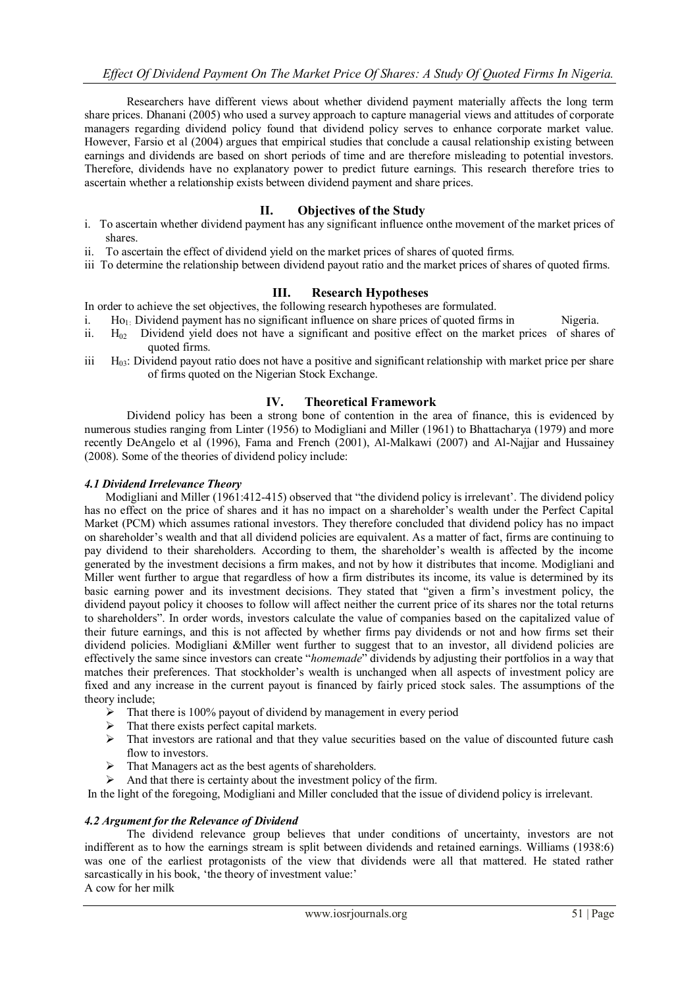Researchers have different views about whether dividend payment materially affects the long term share prices. Dhanani (2005) who used a survey approach to capture managerial views and attitudes of corporate managers regarding dividend policy found that dividend policy serves to enhance corporate market value. However, Farsio et al (2004) argues that empirical studies that conclude a causal relationship existing between earnings and dividends are based on short periods of time and are therefore misleading to potential investors. Therefore, dividends have no explanatory power to predict future earnings. This research therefore tries to ascertain whether a relationship exists between dividend payment and share prices.

# **II. Objectives of the Study**

- i. To ascertain whether dividend payment has any significant influence onthe movement of the market prices of shares.
- ii. To ascertain the effect of dividend yield on the market prices of shares of quoted firms.
- iii To determine the relationship between dividend payout ratio and the market prices of shares of quoted firms.

# **III. Research Hypotheses**

In order to achieve the set objectives, the following research hypotheses are formulated.

- i.  $\text{Ho}_1$ . Dividend payment has no significant influence on share prices of quoted firms in Nigeria.
- ii.  $H_{02}$  Dividend yield does not have a significant and positive effect on the market prices of shares of quoted firms.
- $\rm H_{03}$ : Dividend payout ratio does not have a positive and significant relationship with market price per share of firms quoted on the Nigerian Stock Exchange.

# **IV. Theoretical Framework**

Dividend policy has been a strong bone of contention in the area of finance, this is evidenced by numerous studies ranging from Linter (1956) to Modigliani and Miller (1961) to Bhattacharya (1979) and more recently DeAngelo et al (1996), Fama and French (2001), Al-Malkawi (2007) and Al-Najjar and Hussainey (2008). Some of the theories of dividend policy include:

#### *4.1 Dividend Irrelevance Theory*

Modigliani and Miller (1961:412-415) observed that "the dividend policy is irrelevant". The dividend policy has no effect on the price of shares and it has no impact on a shareholder"s wealth under the Perfect Capital Market (PCM) which assumes rational investors. They therefore concluded that dividend policy has no impact on shareholder"s wealth and that all dividend policies are equivalent. As a matter of fact, firms are continuing to pay dividend to their shareholders. According to them, the shareholder"s wealth is affected by the income generated by the investment decisions a firm makes, and not by how it distributes that income. Modigliani and Miller went further to argue that regardless of how a firm distributes its income, its value is determined by its basic earning power and its investment decisions. They stated that "given a firm"s investment policy, the dividend payout policy it chooses to follow will affect neither the current price of its shares nor the total returns to shareholders". In order words, investors calculate the value of companies based on the capitalized value of their future earnings, and this is not affected by whether firms pay dividends or not and how firms set their dividend policies. Modigliani &Miller went further to suggest that to an investor, all dividend policies are effectively the same since investors can create "*homemade*" dividends by adjusting their portfolios in a way that matches their preferences. That stockholder"s wealth is unchanged when all aspects of investment policy are fixed and any increase in the current payout is financed by fairly priced stock sales. The assumptions of the theory include;

- $\triangleright$  That there is 100% payout of dividend by management in every period
- $\triangleright$  That there exists perfect capital markets.
- $\triangleright$  That investors are rational and that they value securities based on the value of discounted future cash flow to investors.
- $\triangleright$  That Managers act as the best agents of shareholders.
- $\triangleright$  And that there is certainty about the investment policy of the firm.

In the light of the foregoing, Modigliani and Miller concluded that the issue of dividend policy is irrelevant.

# *4.2 Argument for the Relevance of Dividend*

The dividend relevance group believes that under conditions of uncertainty, investors are not indifferent as to how the earnings stream is split between dividends and retained earnings. Williams (1938:6) was one of the earliest protagonists of the view that dividends were all that mattered. He stated rather sarcastically in his book, 'the theory of investment value:' A cow for her milk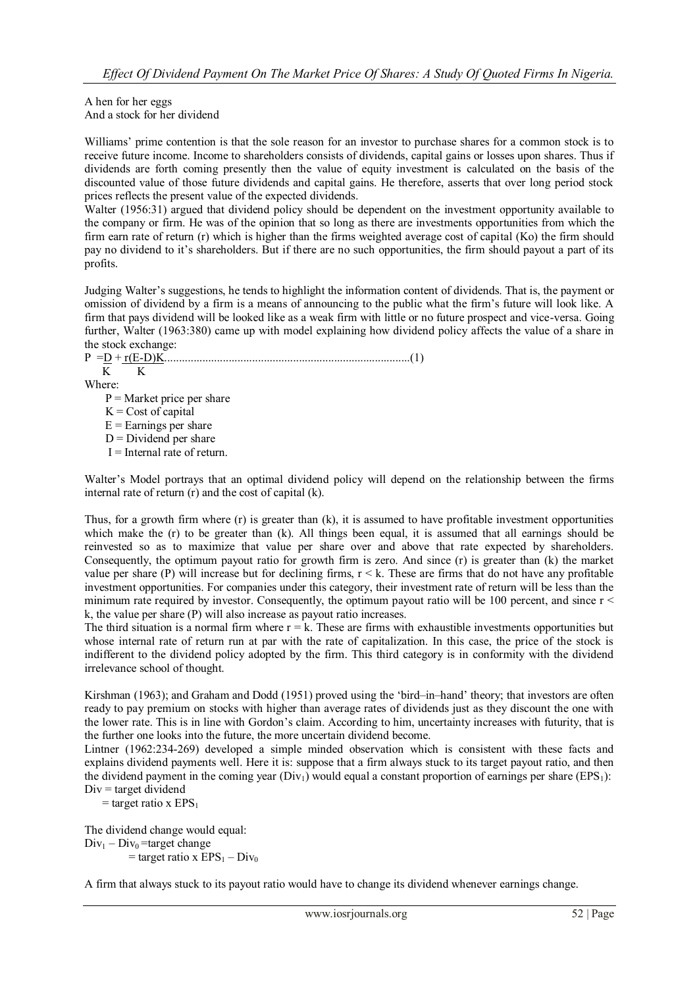#### A hen for her eggs And a stock for her dividend

Williams' prime contention is that the sole reason for an investor to purchase shares for a common stock is to receive future income. Income to shareholders consists of dividends, capital gains or losses upon shares. Thus if dividends are forth coming presently then the value of equity investment is calculated on the basis of the discounted value of those future dividends and capital gains. He therefore, asserts that over long period stock prices reflects the present value of the expected dividends.

Walter (1956:31) argued that dividend policy should be dependent on the investment opportunity available to the company or firm. He was of the opinion that so long as there are investments opportunities from which the firm earn rate of return (r) which is higher than the firms weighted average cost of capital (Ko) the firm should pay no dividend to it"s shareholders. But if there are no such opportunities, the firm should payout a part of its profits.

Judging Walter"s suggestions, he tends to highlight the information content of dividends. That is, the payment or omission of dividend by a firm is a means of announcing to the public what the firm"s future will look like. A firm that pays dividend will be looked like as a weak firm with little or no future prospect and vice-versa. Going further, Walter (1963:380) came up with model explaining how dividend policy affects the value of a share in the stock exchange:

P =D + r(E-D)K....................................................................................(1) K K

Where:

- $P =$ Market price per share
- $K = Cost of capital$
- $E =$ Earnings per share
- $D = Dividend$  per share
- $I =$ Internal rate of return.

Walter"s Model portrays that an optimal dividend policy will depend on the relationship between the firms internal rate of return (r) and the cost of capital (k).

Thus, for a growth firm where  $(r)$  is greater than  $(k)$ , it is assumed to have profitable investment opportunities which make the (r) to be greater than (k). All things been equal, it is assumed that all earnings should be reinvested so as to maximize that value per share over and above that rate expected by shareholders. Consequently, the optimum payout ratio for growth firm is zero. And since (r) is greater than (k) the market value per share (P) will increase but for declining firms,  $r < k$ . These are firms that do not have any profitable investment opportunities. For companies under this category, their investment rate of return will be less than the minimum rate required by investor. Consequently, the optimum payout ratio will be 100 percent, and since  $r <$ k, the value per share (P) will also increase as payout ratio increases.

The third situation is a normal firm where  $r = k$ . These are firms with exhaustible investments opportunities but whose internal rate of return run at par with the rate of capitalization. In this case, the price of the stock is indifferent to the dividend policy adopted by the firm. This third category is in conformity with the dividend irrelevance school of thought.

Kirshman (1963); and Graham and Dodd (1951) proved using the "bird–in–hand" theory; that investors are often ready to pay premium on stocks with higher than average rates of dividends just as they discount the one with the lower rate. This is in line with Gordon"s claim. According to him, uncertainty increases with futurity, that is the further one looks into the future, the more uncertain dividend become.

Lintner (1962:234-269) developed a simple minded observation which is consistent with these facts and explains dividend payments well. Here it is: suppose that a firm always stuck to its target payout ratio, and then the dividend payment in the coming year  $(Div_1)$  would equal a constant proportion of earnings per share (EPS<sub>1</sub>):  $Div = target \, dividend$ 

 $=$  target ratio x EPS<sub>1</sub>

The dividend change would equal:  $Div_1 - Div_0$ =target change  $=$  target ratio x  $EPS_1 - Div_0$ 

A firm that always stuck to its payout ratio would have to change its dividend whenever earnings change.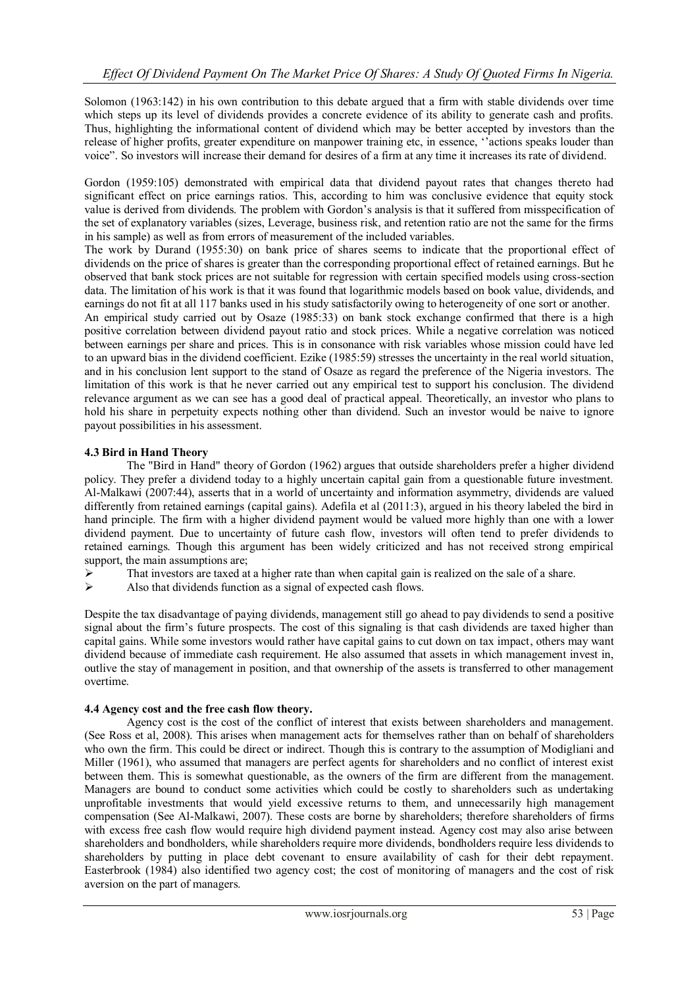Solomon (1963:142) in his own contribution to this debate argued that a firm with stable dividends over time which steps up its level of dividends provides a concrete evidence of its ability to generate cash and profits. Thus, highlighting the informational content of dividend which may be better accepted by investors than the release of higher profits, greater expenditure on manpower training etc, in essence, ""actions speaks louder than voice". So investors will increase their demand for desires of a firm at any time it increases its rate of dividend.

Gordon (1959:105) demonstrated with empirical data that dividend payout rates that changes thereto had significant effect on price earnings ratios. This, according to him was conclusive evidence that equity stock value is derived from dividends. The problem with Gordon"s analysis is that it suffered from misspecification of the set of explanatory variables (sizes, Leverage, business risk, and retention ratio are not the same for the firms in his sample) as well as from errors of measurement of the included variables.

The work by Durand (1955:30) on bank price of shares seems to indicate that the proportional effect of dividends on the price of shares is greater than the corresponding proportional effect of retained earnings. But he observed that bank stock prices are not suitable for regression with certain specified models using cross-section data. The limitation of his work is that it was found that logarithmic models based on book value, dividends, and earnings do not fit at all 117 banks used in his study satisfactorily owing to heterogeneity of one sort or another. An empirical study carried out by Osaze (1985:33) on bank stock exchange confirmed that there is a high positive correlation between dividend payout ratio and stock prices. While a negative correlation was noticed between earnings per share and prices. This is in consonance with risk variables whose mission could have led to an upward bias in the dividend coefficient. Ezike (1985:59) stresses the uncertainty in the real world situation, and in his conclusion lent support to the stand of Osaze as regard the preference of the Nigeria investors. The limitation of this work is that he never carried out any empirical test to support his conclusion. The dividend relevance argument as we can see has a good deal of practical appeal. Theoretically, an investor who plans to hold his share in perpetuity expects nothing other than dividend. Such an investor would be naive to ignore payout possibilities in his assessment.

# **4.3 Bird in Hand Theory**

The "Bird in Hand" theory of Gordon (1962) argues that outside shareholders prefer a higher dividend policy. They prefer a dividend today to a highly uncertain capital gain from a questionable future investment. Al-Malkawi (2007:44), asserts that in a world of uncertainty and information asymmetry, dividends are valued differently from retained earnings (capital gains). Adefila et al (2011:3), argued in his theory labeled the bird in hand principle. The firm with a higher dividend payment would be valued more highly than one with a lower dividend payment. Due to uncertainty of future cash flow, investors will often tend to prefer dividends to retained earnings. Though this argument has been widely criticized and has not received strong empirical support, the main assumptions are;

- $\triangleright$  That investors are taxed at a higher rate than when capital gain is realized on the sale of a share.<br>Also that dividends function as a signal of expected cash flows
- Also that dividends function as a signal of expected cash flows.

Despite the tax disadvantage of paying dividends, management still go ahead to pay dividends to send a positive signal about the firm's future prospects. The cost of this signaling is that cash dividends are taxed higher than capital gains. While some investors would rather have capital gains to cut down on tax impact, others may want dividend because of immediate cash requirement. He also assumed that assets in which management invest in, outlive the stay of management in position, and that ownership of the assets is transferred to other management overtime.

# **4.4 Agency cost and the free cash flow theory.**

Agency cost is the cost of the conflict of interest that exists between shareholders and management. (See Ross et al, 2008). This arises when management acts for themselves rather than on behalf of shareholders who own the firm. This could be direct or indirect. Though this is contrary to the assumption of Modigliani and Miller (1961), who assumed that managers are perfect agents for shareholders and no conflict of interest exist between them. This is somewhat questionable, as the owners of the firm are different from the management. Managers are bound to conduct some activities which could be costly to shareholders such as undertaking unprofitable investments that would yield excessive returns to them, and unnecessarily high management compensation (See Al-Malkawi, 2007). These costs are borne by shareholders; therefore shareholders of firms with excess free cash flow would require high dividend payment instead. Agency cost may also arise between shareholders and bondholders, while shareholders require more dividends, bondholders require less dividends to shareholders by putting in place debt covenant to ensure availability of cash for their debt repayment. Easterbrook (1984) also identified two agency cost; the cost of monitoring of managers and the cost of risk aversion on the part of managers.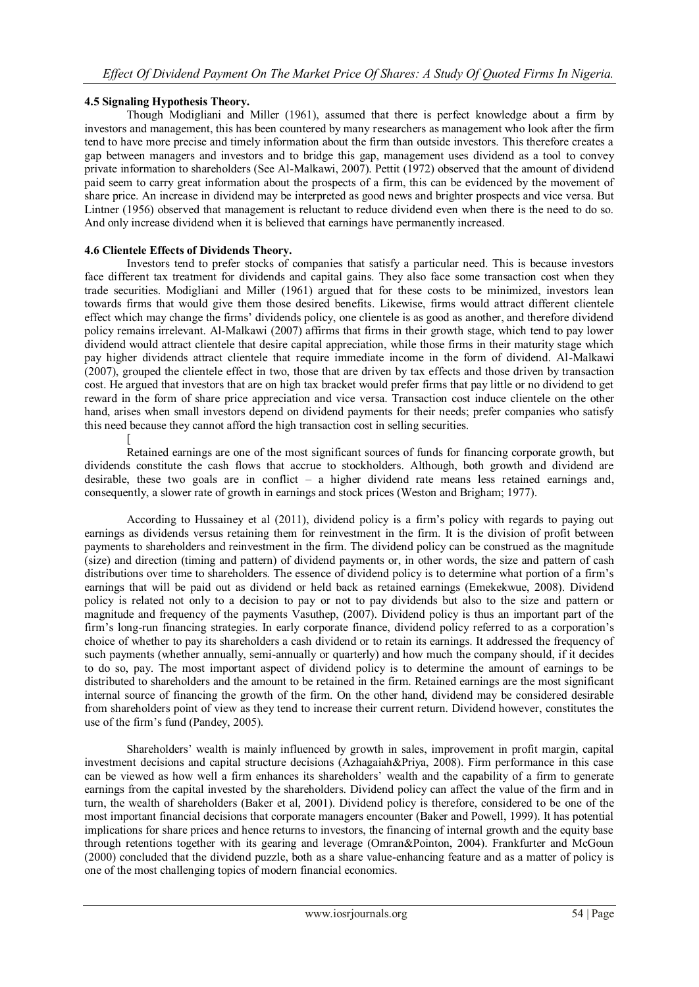# **4.5 Signaling Hypothesis Theory.**

Though Modigliani and Miller (1961), assumed that there is perfect knowledge about a firm by investors and management, this has been countered by many researchers as management who look after the firm tend to have more precise and timely information about the firm than outside investors. This therefore creates a gap between managers and investors and to bridge this gap, management uses dividend as a tool to convey private information to shareholders (See Al-Malkawi, 2007). Pettit (1972) observed that the amount of dividend paid seem to carry great information about the prospects of a firm, this can be evidenced by the movement of share price. An increase in dividend may be interpreted as good news and brighter prospects and vice versa. But Lintner (1956) observed that management is reluctant to reduce dividend even when there is the need to do so. And only increase dividend when it is believed that earnings have permanently increased.

# **4.6 Clientele Effects of Dividends Theory.**

Investors tend to prefer stocks of companies that satisfy a particular need. This is because investors face different tax treatment for dividends and capital gains. They also face some transaction cost when they trade securities. Modigliani and Miller (1961) argued that for these costs to be minimized, investors lean towards firms that would give them those desired benefits. Likewise, firms would attract different clientele effect which may change the firms" dividends policy, one clientele is as good as another, and therefore dividend policy remains irrelevant. Al-Malkawi (2007) affirms that firms in their growth stage, which tend to pay lower dividend would attract clientele that desire capital appreciation, while those firms in their maturity stage which pay higher dividends attract clientele that require immediate income in the form of dividend. Al-Malkawi (2007), grouped the clientele effect in two, those that are driven by tax effects and those driven by transaction cost. He argued that investors that are on high tax bracket would prefer firms that pay little or no dividend to get reward in the form of share price appreciation and vice versa. Transaction cost induce clientele on the other hand, arises when small investors depend on dividend payments for their needs; prefer companies who satisfy this need because they cannot afford the high transaction cost in selling securities.

[ Retained earnings are one of the most significant sources of funds for financing corporate growth, but dividends constitute the cash flows that accrue to stockholders. Although, both growth and dividend are desirable, these two goals are in conflict – a higher dividend rate means less retained earnings and, consequently, a slower rate of growth in earnings and stock prices (Weston and Brigham; 1977).

According to Hussainey et al (2011), dividend policy is a firm"s policy with regards to paying out earnings as dividends versus retaining them for reinvestment in the firm. It is the division of profit between payments to shareholders and reinvestment in the firm. The dividend policy can be construed as the magnitude (size) and direction (timing and pattern) of dividend payments or, in other words, the size and pattern of cash distributions over time to shareholders. The essence of dividend policy is to determine what portion of a firm's earnings that will be paid out as dividend or held back as retained earnings (Emekekwue, 2008). Dividend policy is related not only to a decision to pay or not to pay dividends but also to the size and pattern or magnitude and frequency of the payments Vasuthep, (2007). Dividend policy is thus an important part of the firm"s long-run financing strategies. In early corporate finance, dividend policy referred to as a corporation"s choice of whether to pay its shareholders a cash dividend or to retain its earnings. It addressed the frequency of such payments (whether annually, semi-annually or quarterly) and how much the company should, if it decides to do so, pay. The most important aspect of dividend policy is to determine the amount of earnings to be distributed to shareholders and the amount to be retained in the firm. Retained earnings are the most significant internal source of financing the growth of the firm. On the other hand, dividend may be considered desirable from shareholders point of view as they tend to increase their current return. Dividend however, constitutes the use of the firm"s fund (Pandey, 2005).

Shareholders" wealth is mainly influenced by growth in sales, improvement in profit margin, capital investment decisions and capital structure decisions (Azhagaiah&Priya, 2008). Firm performance in this case can be viewed as how well a firm enhances its shareholders" wealth and the capability of a firm to generate earnings from the capital invested by the shareholders. Dividend policy can affect the value of the firm and in turn, the wealth of shareholders (Baker et al, 2001). Dividend policy is therefore, considered to be one of the most important financial decisions that corporate managers encounter (Baker and Powell, 1999). It has potential implications for share prices and hence returns to investors, the financing of internal growth and the equity base through retentions together with its gearing and leverage (Omran&Pointon, 2004). Frankfurter and McGoun (2000) concluded that the dividend puzzle, both as a share value-enhancing feature and as a matter of policy is one of the most challenging topics of modern financial economics.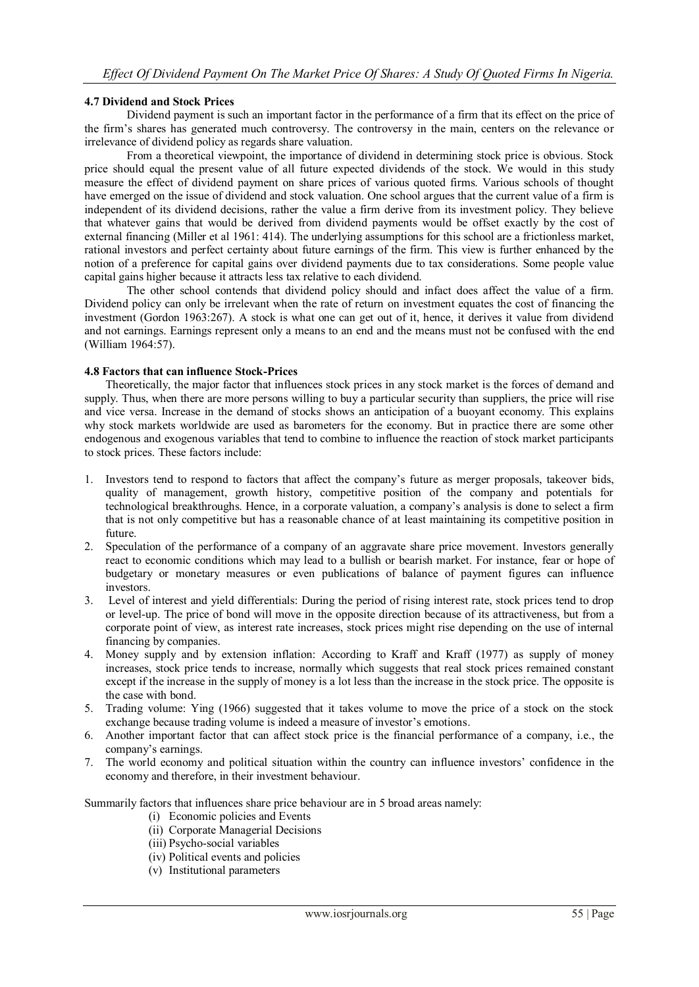#### **4.7 Dividend and Stock Prices**

Dividend payment is such an important factor in the performance of a firm that its effect on the price of the firm"s shares has generated much controversy. The controversy in the main, centers on the relevance or irrelevance of dividend policy as regards share valuation.

From a theoretical viewpoint, the importance of dividend in determining stock price is obvious. Stock price should equal the present value of all future expected dividends of the stock. We would in this study measure the effect of dividend payment on share prices of various quoted firms. Various schools of thought have emerged on the issue of dividend and stock valuation. One school argues that the current value of a firm is independent of its dividend decisions, rather the value a firm derive from its investment policy. They believe that whatever gains that would be derived from dividend payments would be offset exactly by the cost of external financing (Miller et al 1961: 414). The underlying assumptions for this school are a frictionless market, rational investors and perfect certainty about future earnings of the firm. This view is further enhanced by the notion of a preference for capital gains over dividend payments due to tax considerations. Some people value capital gains higher because it attracts less tax relative to each dividend.

The other school contends that dividend policy should and infact does affect the value of a firm. Dividend policy can only be irrelevant when the rate of return on investment equates the cost of financing the investment (Gordon 1963:267). A stock is what one can get out of it, hence, it derives it value from dividend and not earnings. Earnings represent only a means to an end and the means must not be confused with the end (William 1964:57).

#### **4.8 Factors that can influence Stock-Prices**

Theoretically, the major factor that influences stock prices in any stock market is the forces of demand and supply. Thus, when there are more persons willing to buy a particular security than suppliers, the price will rise and vice versa. Increase in the demand of stocks shows an anticipation of a buoyant economy. This explains why stock markets worldwide are used as barometers for the economy. But in practice there are some other endogenous and exogenous variables that tend to combine to influence the reaction of stock market participants to stock prices. These factors include:

- 1. Investors tend to respond to factors that affect the company"s future as merger proposals, takeover bids, quality of management, growth history, competitive position of the company and potentials for technological breakthroughs. Hence, in a corporate valuation, a company"s analysis is done to select a firm that is not only competitive but has a reasonable chance of at least maintaining its competitive position in future.
- 2. Speculation of the performance of a company of an aggravate share price movement. Investors generally react to economic conditions which may lead to a bullish or bearish market. For instance, fear or hope of budgetary or monetary measures or even publications of balance of payment figures can influence investors.
- 3. Level of interest and yield differentials: During the period of rising interest rate, stock prices tend to drop or level-up. The price of bond will move in the opposite direction because of its attractiveness, but from a corporate point of view, as interest rate increases, stock prices might rise depending on the use of internal financing by companies.
- 4. Money supply and by extension inflation: According to Kraff and Kraff (1977) as supply of money increases, stock price tends to increase, normally which suggests that real stock prices remained constant except if the increase in the supply of money is a lot less than the increase in the stock price. The opposite is the case with bond.
- 5. Trading volume: Ying (1966) suggested that it takes volume to move the price of a stock on the stock exchange because trading volume is indeed a measure of investor's emotions.
- 6. Another important factor that can affect stock price is the financial performance of a company, i.e., the company's earnings.
- 7. The world economy and political situation within the country can influence investors" confidence in the economy and therefore, in their investment behaviour.

Summarily factors that influences share price behaviour are in 5 broad areas namely:

- (i) Economic policies and Events
- (ii) Corporate Managerial Decisions
- (iii) Psycho-social variables
- (iv) Political events and policies
- (v) Institutional parameters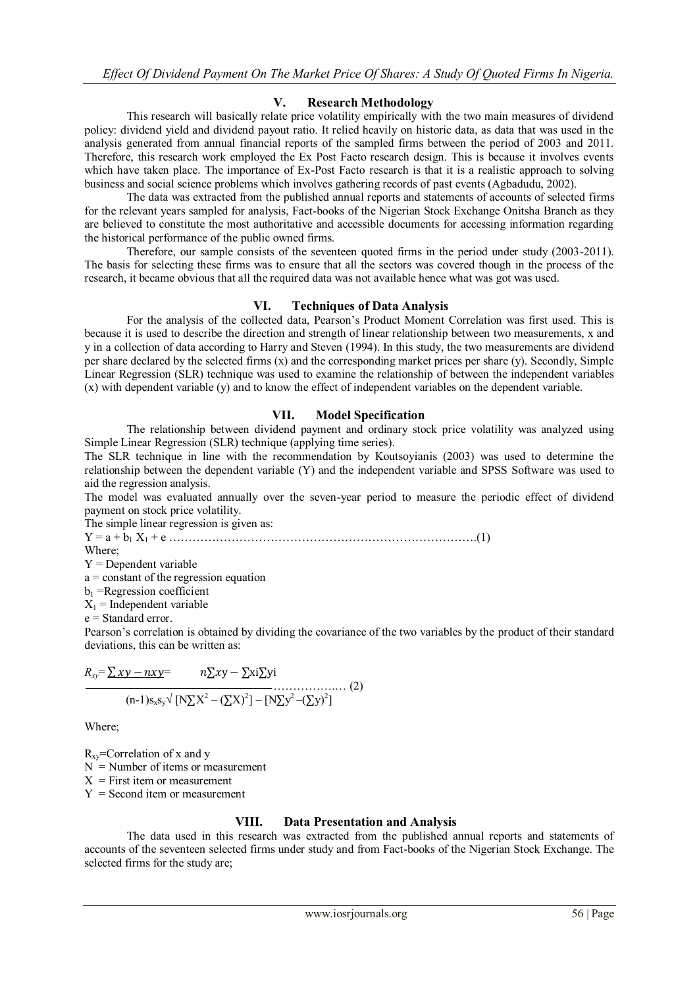# **V. Research Methodology**

This research will basically relate price volatility empirically with the two main measures of dividend policy: dividend yield and dividend payout ratio. It relied heavily on historic data, as data that was used in the analysis generated from annual financial reports of the sampled firms between the period of 2003 and 2011. Therefore, this research work employed the Ex Post Facto research design. This is because it involves events which have taken place. The importance of Ex-Post Facto research is that it is a realistic approach to solving business and social science problems which involves gathering records of past events (Agbadudu, 2002).

The data was extracted from the published annual reports and statements of accounts of selected firms for the relevant years sampled for analysis, Fact-books of the Nigerian Stock Exchange Onitsha Branch as they are believed to constitute the most authoritative and accessible documents for accessing information regarding the historical performance of the public owned firms.

Therefore, our sample consists of the seventeen quoted firms in the period under study (2003-2011). The basis for selecting these firms was to ensure that all the sectors was covered though in the process of the research, it became obvious that all the required data was not available hence what was got was used.

# **VI. Techniques of Data Analysis**

For the analysis of the collected data, Pearson"s Product Moment Correlation was first used. This is because it is used to describe the direction and strength of linear relationship between two measurements, x and y in a collection of data according to Harry and Steven (1994). In this study, the two measurements are dividend per share declared by the selected firms (x) and the corresponding market prices per share (y). Secondly, Simple Linear Regression (SLR) technique was used to examine the relationship of between the independent variables (x) with dependent variable (y) and to know the effect of independent variables on the dependent variable.

# **VII. Model Specification**

The relationship between dividend payment and ordinary stock price volatility was analyzed using Simple Linear Regression (SLR) technique (applying time series).

The SLR technique in line with the recommendation by Koutsoyianis (2003) was used to determine the relationship between the dependent variable (Y) and the independent variable and SPSS Software was used to aid the regression analysis.

The model was evaluated annually over the seven-year period to measure the periodic effect of dividend payment on stock price volatility.

The simple linear regression is given as:

 $Y = a + b_1 X_1 + e \dots$ 

Where;

Y = Dependent variable

a = constant of the regression equation

 $b_1$  =Regression coefficient

 $X_1$  = Independent variable

e = Standard error.

Pearson's correlation is obtained by dividing the covariance of the two variables by the product of their standard deviations, this can be written as:

$$
R_{xy} = \sum xy - nxy = n\sum xy - \sum x \sum yi
$$
  
(n-1)s<sub>xy</sub>  $\sqrt{[N\Sigma X^2 - (\Sigma X)^2] - [N\Sigma y^2 - (\Sigma y)^2]}$  (2)

Where;

 $R_{xy}$ =Correlation of x and y  $N =$  Number of items or measurement  $X =$  First item or measurement  $Y =$  Second item or measurement

# **VIII. Data Presentation and Analysis**

The data used in this research was extracted from the published annual reports and statements of accounts of the seventeen selected firms under study and from Fact-books of the Nigerian Stock Exchange. The selected firms for the study are;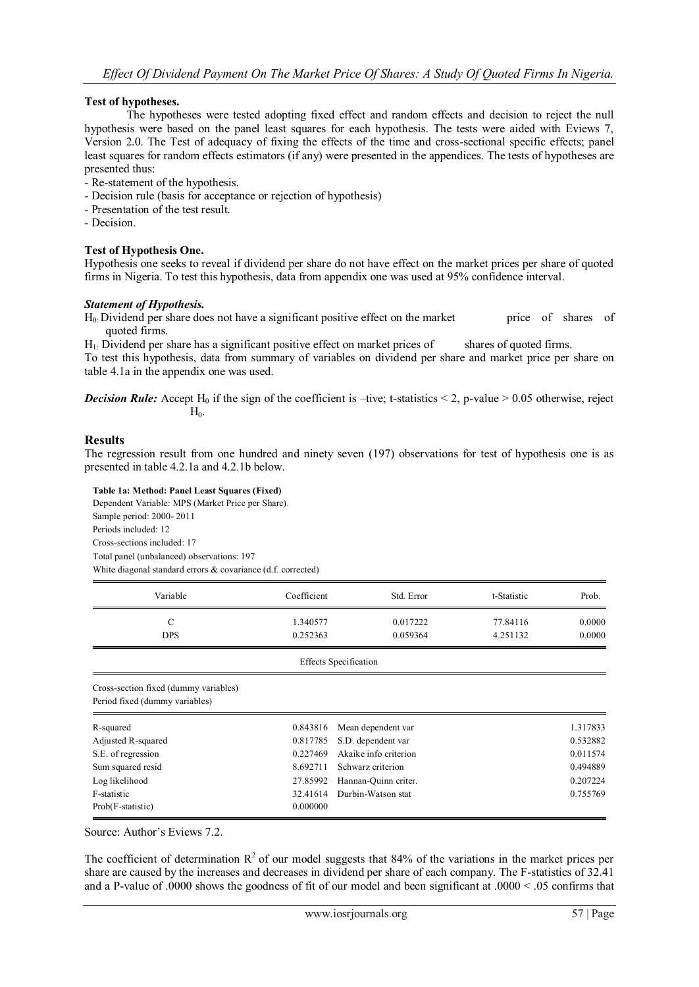# **Test of hypotheses.**

The hypotheses were tested adopting fixed effect and random effects and decision to reject the null hypothesis were based on the panel least squares for each hypothesis. The tests were aided with Eviews 7, Version 2.0. The Test of adequacy of fixing the effects of the time and cross-sectional specific effects; panel least squares for random effects estimators (if any) were presented in the appendices. The tests of hypotheses are presented thus:

- Re-statement of the hypothesis.
- Decision rule (basis for acceptance or rejection of hypothesis)
- Presentation of the test result.
- Decision.

#### **Test of Hypothesis One.**

Hypothesis one seeks to reveal if dividend per share do not have effect on the market prices per share of quoted firms in Nigeria. To test this hypothesis, data from appendix one was used at 95% confidence interval.

#### *Statement of Hypothesis.*

H<sub>0</sub>: Dividend per share does not have a significant positive effect on the market price of shares of quoted firms.

H1: Dividend per share has a significant positive effect on market prices of shares of quoted firms.

To test this hypothesis, data from summary of variables on dividend per share and market price per share on table 4.1a in the appendix one was used.

*Decision Rule:* Accept H<sub>0</sub> if the sign of the coefficient is –tive; t-statistics  $\leq$  2, p-value  $\geq$  0.05 otherwise, reject  $H_{0}$ 

#### **Results**

The regression result from one hundred and ninety seven (197) observations for test of hypothesis one is as presented in table 4.2.1a and 4.2.1b below.

**Table 1a: Method: Panel Least Squares (Fixed)**

Dependent Variable: MPS (Market Price per Share). Sample period: 2000- 2011 Periods included: 12 Cross-sections included: 17 Total panel (unbalanced) observations: 197 White diagonal standard errors & covariance (d.f. corrected)

| Variable                                                                | Coefficient                    | Std. Error            | t-Statistic | Prob.    |
|-------------------------------------------------------------------------|--------------------------------|-----------------------|-------------|----------|
| $\mathcal{C}$                                                           | 1.340577                       | 0.017222              | 77.84116    | 0.0000   |
| <b>DPS</b>                                                              | 0.252363                       | 0.059364              | 4.251132    | 0.0000   |
|                                                                         | <b>Effects Specification</b>   |                       |             |          |
| Cross-section fixed (dummy variables)<br>Period fixed (dummy variables) |                                |                       |             |          |
| R-squared                                                               | 0.843816                       | Mean dependent var    |             | 1.317833 |
| Adjusted R-squared                                                      | 0.817785<br>S.D. dependent var |                       | 0.532882    |          |
| S.E. of regression                                                      | 0.227469                       | Akaike info criterion |             | 0.011574 |
| Sum squared resid                                                       | 8.692711                       | Schwarz criterion     |             | 0.494889 |
| Log likelihood                                                          | 27.85992                       | Hannan-Quinn criter.  |             | 0.207224 |
| F-statistic                                                             | 32.41614                       | Durbin-Watson stat    |             | 0.755769 |
| Prob(F-statistic)                                                       | 0.000000                       |                       |             |          |

Source: Author's Eviews 7.2.

The coefficient of determination  $\mathbb{R}^2$  of our model suggests that 84% of the variations in the market prices per share are caused by the increases and decreases in dividend per share of each company. The F-statistics of 32.41 and a P-value of .0000 shows the goodness of fit of our model and been significant at .0000 < .05 confirms that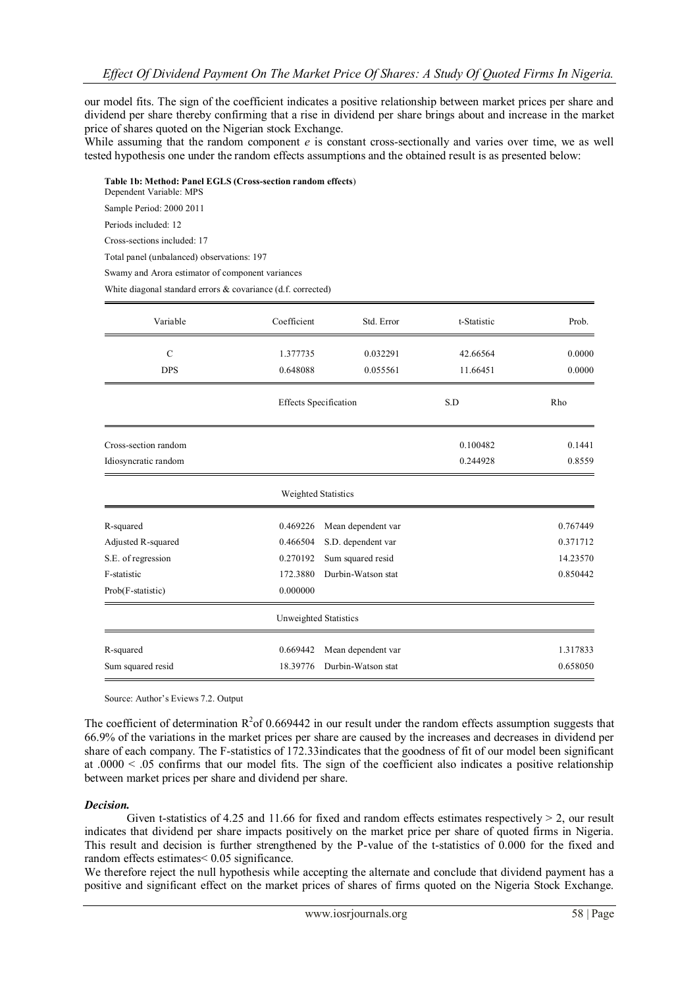our model fits. The sign of the coefficient indicates a positive relationship between market prices per share and dividend per share thereby confirming that a rise in dividend per share brings about and increase in the market price of shares quoted on the Nigerian stock Exchange.

While assuming that the random component *e* is constant cross-sectionally and varies over time, we as well tested hypothesis one under the random effects assumptions and the obtained result is as presented below:

**Table 1b: Method: Panel EGLS (Cross-section random effects**)

Dependent Variable: MPS

Sample Period: 2000 2011

Periods included: 12

Cross-sections included: 17

Total panel (unbalanced) observations: 197

Swamy and Arora estimator of component variances

White diagonal standard errors & covariance (d.f. corrected)

| Variable             | Coefficient                  | Std. Error         | t-Statistic | Prob.    |
|----------------------|------------------------------|--------------------|-------------|----------|
| $\mathcal{C}$        | 1.377735                     | 0.032291           | 42.66564    | 0.0000   |
| <b>DPS</b>           | 0.648088                     | 0.055561           | 11.66451    | 0.0000   |
|                      | <b>Effects</b> Specification |                    | S.D         | Rho      |
| Cross-section random |                              |                    | 0.100482    | 0.1441   |
| Idiosyncratic random |                              |                    | 0.244928    | 0.8559   |
|                      | <b>Weighted Statistics</b>   |                    |             |          |
| R-squared            | 0.469226                     | Mean dependent var |             | 0.767449 |
| Adjusted R-squared   | 0.466504                     | S.D. dependent var |             | 0.371712 |
| S.E. of regression   | 0.270192                     | Sum squared resid  |             | 14.23570 |
| F-statistic          | 172.3880                     | Durbin-Watson stat |             | 0.850442 |
| Prob(F-statistic)    | 0.000000                     |                    |             |          |
|                      | Unweighted Statistics        |                    |             |          |
| R-squared            | 0.669442                     | Mean dependent var |             | 1.317833 |
| Sum squared resid    | 18.39776                     | Durbin-Watson stat |             | 0.658050 |

Source: Author"s Eviews 7.2. Output

The coefficient of determination  $R^2$  of 0.669442 in our result under the random effects assumption suggests that 66.9% of the variations in the market prices per share are caused by the increases and decreases in dividend per share of each company. The F-statistics of 172.33indicates that the goodness of fit of our model been significant at  $.0000 < .05$  confirms that our model fits. The sign of the coefficient also indicates a positive relationship between market prices per share and dividend per share.

#### *Decision.*

Given t-statistics of 4.25 and 11.66 for fixed and random effects estimates respectively  $> 2$ , our result indicates that dividend per share impacts positively on the market price per share of quoted firms in Nigeria. This result and decision is further strengthened by the P-value of the t-statistics of 0.000 for the fixed and random effects estimates< 0.05 significance.

We therefore reject the null hypothesis while accepting the alternate and conclude that dividend payment has a positive and significant effect on the market prices of shares of firms quoted on the Nigeria Stock Exchange.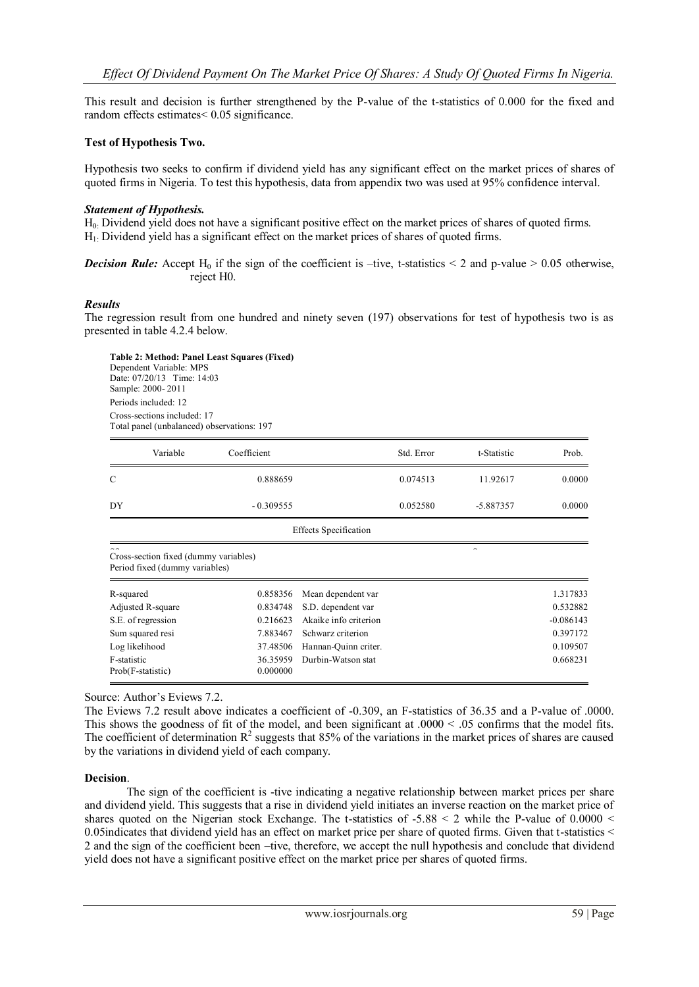This result and decision is further strengthened by the P-value of the t-statistics of 0.000 for the fixed and random effects estimates< 0.05 significance.

#### **Test of Hypothesis Two.**

Hypothesis two seeks to confirm if dividend yield has any significant effect on the market prices of shares of quoted firms in Nigeria. To test this hypothesis, data from appendix two was used at 95% confidence interval.

#### *Statement of Hypothesis.*

H0: Dividend yield does not have a significant positive effect on the market prices of shares of quoted firms. H1: Dividend yield has a significant effect on the market prices of shares of quoted firms.

*Decision Rule:* Accept H<sub>0</sub> if the sign of the coefficient is –tive, t-statistics  $\leq$  2 and p-value  $\geq$  0.05 otherwise, reject H0.

#### *Results*

The regression result from one hundred and ninety seven (197) observations for test of hypothesis two is as presented in table 4.2.4 below.

**Table 2: Method: Panel Least Squares (Fixed)** Dependent Variable: MPS Date: 07/20/13 Time: 14:03 Sample: 2000- 2011 Periods included: 12 Cross-sections included: 17 Total panel (unbalanced) observations: 197

| Variable                                                                                 | Coefficient                   |                              | Std. Error | t-Statistic | Prob.       |
|------------------------------------------------------------------------------------------|-------------------------------|------------------------------|------------|-------------|-------------|
| $\mathcal{C}$                                                                            | 0.888659                      |                              | 0.074513   | 11.92617    | 0.0000      |
| DY                                                                                       | $-0.309555$                   |                              | 0.052580   | -5.887357   | 0.0000      |
|                                                                                          |                               | <b>Effects</b> Specification |            |             |             |
| $\sim$ $\sim$<br>Cross-section fixed (dummy variables)<br>Period fixed (dummy variables) |                               |                              |            | ×           |             |
| R-squared                                                                                | 0.858356                      | Mean dependent var           |            |             | 1.317833    |
| Adjusted R-square                                                                        | 0.834748                      | S.D. dependent var           |            |             | 0.532882    |
| S.E. of regression                                                                       | 0.216623                      | Akaike info criterion        |            |             | $-0.086143$ |
| Sum squared resi                                                                         | Schwarz criterion<br>7.883467 |                              |            |             | 0.397172    |
| Log likelihood                                                                           | 37.48506                      | Hannan-Quinn criter.         |            |             | 0.109507    |
| F-statistic<br>Prob(F-statistic)                                                         | 36.35959<br>0.000000          | Durbin-Watson stat           |            |             | 0.668231    |

Source: Author's Eviews 7.2.

The Eviews 7.2 result above indicates a coefficient of -0.309, an F-statistics of 36.35 and a P-value of .0000. This shows the goodness of fit of the model, and been significant at  $.0000 < .05$  confirms that the model fits. The coefficient of determination  $R^2$  suggests that 85% of the variations in the market prices of shares are caused by the variations in dividend yield of each company.

#### **Decision**.

The sign of the coefficient is -tive indicating a negative relationship between market prices per share and dividend yield. This suggests that a rise in dividend yield initiates an inverse reaction on the market price of shares quoted on the Nigerian stock Exchange. The t-statistics of  $-5.88 \le 2$  while the P-value of 0.0000  $\le$ 0.05indicates that dividend yield has an effect on market price per share of quoted firms. Given that t-statistics < 2 and the sign of the coefficient been –tive, therefore, we accept the null hypothesis and conclude that dividend yield does not have a significant positive effect on the market price per shares of quoted firms.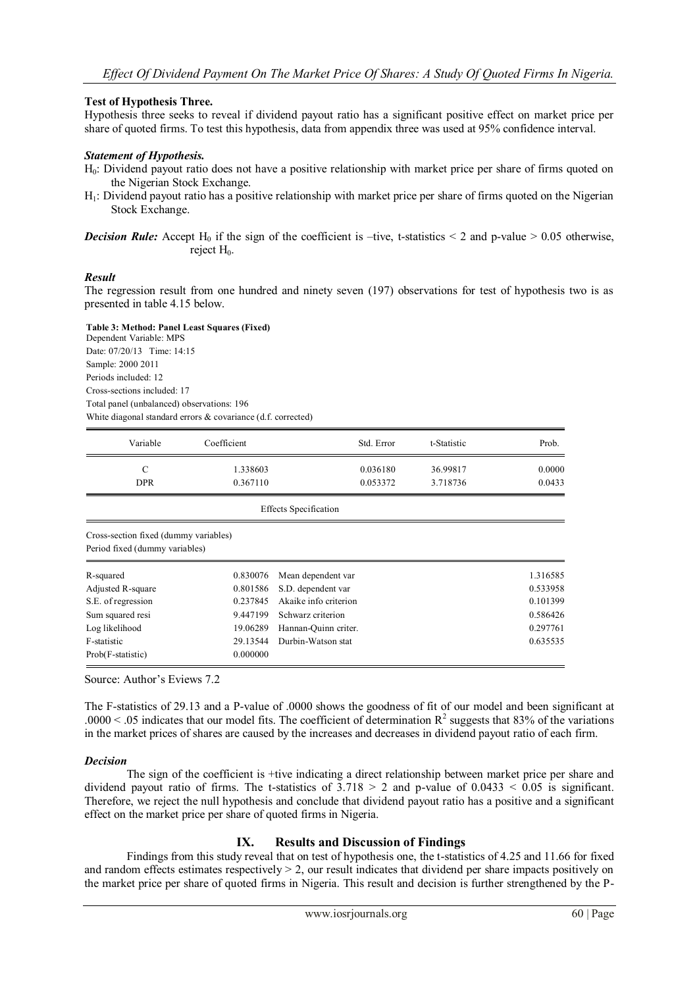#### **Test of Hypothesis Three.**

Hypothesis three seeks to reveal if dividend payout ratio has a significant positive effect on market price per share of quoted firms. To test this hypothesis, data from appendix three was used at 95% confidence interval.

#### *Statement of Hypothesis.*

- H0: Dividend payout ratio does not have a positive relationship with market price per share of firms quoted on the Nigerian Stock Exchange.
- H1: Dividend payout ratio has a positive relationship with market price per share of firms quoted on the Nigerian Stock Exchange.

#### *Result*

The regression result from one hundred and ninety seven (197) observations for test of hypothesis two is as presented in table 4.15 below.

**Table 3: Method: Panel Least Squares (Fixed)**

Dependent Variable: MPS Date: 07/20/13 Time: 14:15 Sample: 2000 2011 Periods included: 12 Cross-sections included: 17 Total panel (unbalanced) observations: 196 White diagonal standard errors & covariance (d.f. corrected)

| Variable   | Coefficient | Std. Error | t-Statistic | Prob.  |
|------------|-------------|------------|-------------|--------|
|            | 1.338603    | 0.036180   | 36.99817    | 0.0000 |
| <b>DPR</b> | 0.367110    | 0.053372   | 3.718736    | 0.0433 |

Effects Specification

Cross-section fixed (dummy variables)

Period fixed (dummy variables)

| R-squared          | 0.830076 | Mean dependent var          | 1.316585 |
|--------------------|----------|-----------------------------|----------|
| Adjusted R-square  |          | 0.801586 S.D. dependent var | 0.533958 |
| S.E. of regression | 0.237845 | Akaike info criterion       | 0.101399 |
| Sum squared resi   | 9.447199 | Schwarz criterion           | 0.586426 |
| Log likelihood     | 19.06289 | Hannan-Ouinn criter.        | 0.297761 |
| F-statistic        |          | 29.13544 Durbin-Watson stat | 0.635535 |
| Prob(F-statistic)  | 0.000000 |                             |          |

Source: Author"s Eviews 7.2

The F-statistics of 29.13 and a P-value of .0000 shows the goodness of fit of our model and been significant at .0000 < .05 indicates that our model fits. The coefficient of determination  $R^2$  suggests that 83% of the variations in the market prices of shares are caused by the increases and decreases in dividend payout ratio of each firm.

#### *Decision*

The sign of the coefficient is +tive indicating a direct relationship between market price per share and dividend payout ratio of firms. The t-statistics of  $3.718 > 2$  and p-value of  $0.0433 < 0.05$  is significant. Therefore, we reject the null hypothesis and conclude that dividend payout ratio has a positive and a significant effect on the market price per share of quoted firms in Nigeria.

# **IX. Results and Discussion of Findings**

Findings from this study reveal that on test of hypothesis one, the t-statistics of 4.25 and 11.66 for fixed and random effects estimates respectively  $> 2$ , our result indicates that dividend per share impacts positively on the market price per share of quoted firms in Nigeria. This result and decision is further strengthened by the P-

*Decision Rule:* Accept H<sub>0</sub> if the sign of the coefficient is –tive, t-statistics  $\leq$  2 and p-value  $\geq$  0.05 otherwise, reject H<sub>0</sub>.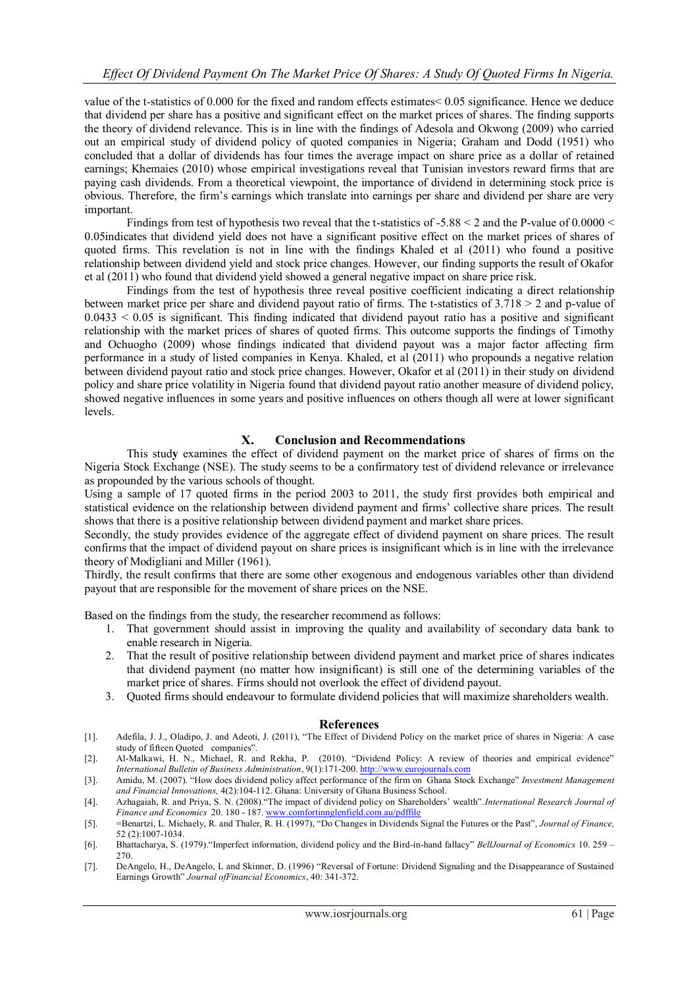value of the t-statistics of 0.000 for the fixed and random effects estimates< 0.05 significance. Hence we deduce that dividend per share has a positive and significant effect on the market prices of shares. The finding supports the theory of dividend relevance. This is in line with the findings of Adesola and Okwong (2009) who carried out an empirical study of dividend policy of quoted companies in Nigeria; Graham and Dodd (1951) who concluded that a dollar of dividends has four times the average impact on share price as a dollar of retained earnings; Khemaies (2010) whose empirical investigations reveal that Tunisian investors reward firms that are paying cash dividends. From a theoretical viewpoint, the importance of dividend in determining stock price is obvious. Therefore, the firm"s earnings which translate into earnings per share and dividend per share are very important.

Findings from test of hypothesis two reveal that the t-statistics of  $-5.88 \le 2$  and the P-value of 0.0000  $\le$ 0.05indicates that dividend yield does not have a significant positive effect on the market prices of shares of quoted firms. This revelation is not in line with the findings Khaled et al (2011) who found a positive relationship between dividend yield and stock price changes. However, our finding supports the result of Okafor et al (2011) who found that dividend yield showed a general negative impact on share price risk.

Findings from the test of hypothesis three reveal positive coefficient indicating a direct relationship between market price per share and dividend payout ratio of firms. The t-statistics of 3.718 > 2 and p-value of  $0.0433 < 0.05$  is significant. This finding indicated that dividend payout ratio has a positive and significant relationship with the market prices of shares of quoted firms. This outcome supports the findings of Timothy and Ochuogho (2009) whose findings indicated that dividend payout was a major factor affecting firm performance in a study of listed companies in Kenya. Khaled, et al (2011) who propounds a negative relation between dividend payout ratio and stock price changes. However, Okafor et al (2011) in their study on dividend policy and share price volatility in Nigeria found that dividend payout ratio another measure of dividend policy, showed negative influences in some years and positive influences on others though all were at lower significant levels.

# **X. Conclusion and Recommendations**

This stud**y** examines the effect of dividend payment on the market price of shares of firms on the Nigeria Stock Exchange (NSE). The study seems to be a confirmatory test of dividend relevance or irrelevance as propounded by the various schools of thought.

Using a sample of 17 quoted firms in the period 2003 to 2011, the study first provides both empirical and statistical evidence on the relationship between dividend payment and firms" collective share prices. The result shows that there is a positive relationship between dividend payment and market share prices.

Secondly, the study provides evidence of the aggregate effect of dividend payment on share prices. The result confirms that the impact of dividend payout on share prices is insignificant which is in line with the irrelevance theory of Modigliani and Miller (1961).

Thirdly, the result confirms that there are some other exogenous and endogenous variables other than dividend payout that are responsible for the movement of share prices on the NSE.

Based on the findings from the study, the researcher recommend as follows:

- 1. That government should assist in improving the quality and availability of secondary data bank to enable research in Nigeria.
- 2. That the result of positive relationship between dividend payment and market price of shares indicates that dividend payment (no matter how insignificant) is still one of the determining variables of the market price of shares. Firms should not overlook the effect of dividend payout.
- 3. Quoted firms should endeavour to formulate dividend policies that will maximize shareholders wealth.

#### **References**

- [1]. Adefila, J. J., Oladipo, J. and Adeoti, J. (2011), "The Effect of Dividend Policy on the market price of shares in Nigeria: A case study of fifteen Quoted companies".
- [2]. Al-Malkawi, H. N., Michael, R. and Rekha, P. (2010). "Dividend Policy: A review of theories and empirical evidence" *International Bulletin of Business Administration*, 9(1):171-200[. http://www.eurojournals.com](http://www.eurojournals.com/)
- [3]. Amidu, M. (2007). "How does dividend policy affect performance of the firm on Ghana Stock Exchange" *Investment Management and Financial Innovations,* 4(2):104-112. Ghana: University of Ghana Business School.
- [4]. Azhagaiah, R. and Priya, S. N. (2008)."The impact of dividend policy on Shareholders" wealth".*International Research Journal of Finance and Economics* 20. 180 - 187[. www.comfortinnglenfield.com.au/pdffile](http://www.comfortinnglenfield.com.au/pdffile)
- [5]. =Benartzi, L. Michaely, R. and Thaler, R. H. (1997), "Do Changes in Dividends Signal the Futures or the Past", *Journal of Finance,* 52 (2):1007-1034.
- [6]. Bhattacharya, S. (1979)."Imperfect information, dividend policy and the Bird-in-hand fallacy" *BellJournal of Economics* 10. 259 270.
- [7]. DeAngelo, H., DeAngelo, L and Skinner, D. (1996) "Reversal of Fortune: Dividend Signaling and the Disappearance of Sustained Earnings Growth" *Journal ofFinancial Economics*, 40: 341-372.